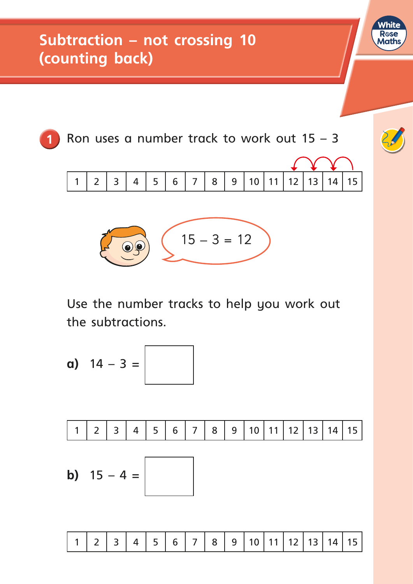

White **R**ose Maths

Use the number tracks to help you work out the subtractions.

a) 
$$
14 - 3 =
$$
  
\n1 2 3 4 5 6 7 8 9 10 11 12 13 14 15  
\nb)  $15 - 4 =$ 

1 2 3 4 5 6 7 8 9 10 11 12 13 14 15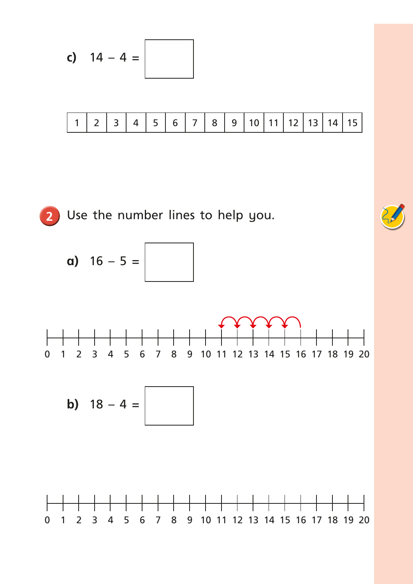$$
c) \quad 14-4=
$$

|  | $  2   3   4   5   6   7   8   9   10   11   12   13   14   15.$ |  |  |  |  |  |  |  |  |  |  |  |  |  |
|--|------------------------------------------------------------------|--|--|--|--|--|--|--|--|--|--|--|--|--|
|--|------------------------------------------------------------------|--|--|--|--|--|--|--|--|--|--|--|--|--|

**2** Use the number lines to help you.

**a)**  $16 - 5 =$ 



$$
b) \quad 18-4=
$$